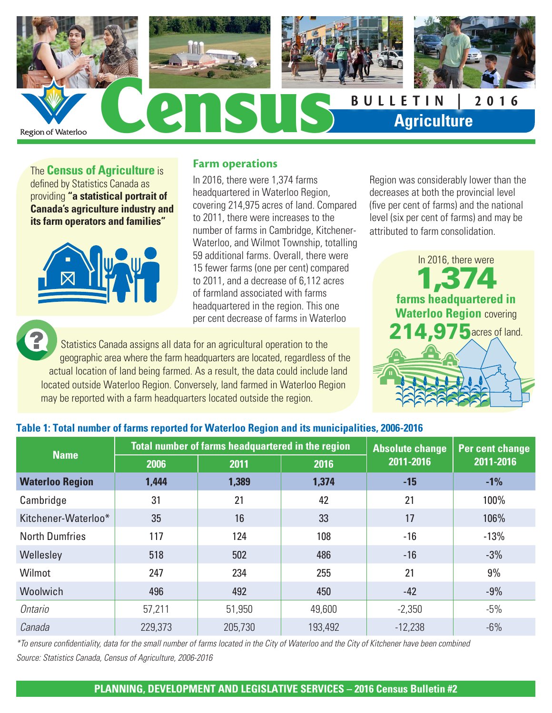

The **Census of Agriculture** is defined by Statistics Canada as providing **"a statistical portrait of Canada's agriculture industry and its farm operators and families"**



### **Farm operations**

In 2016, there were 1,374 farms headquartered in Waterloo Region, covering 214,975 acres of land. Compared to 2011, there were increases to the number of farms in Cambridge, Kitchener-Waterloo, and Wilmot Township, totalling 59 additional farms. Overall, there were 15 fewer farms (one per cent) compared to 2011, and a decrease of 6,112 acres of farmland associated with farms headquartered in the region. This one per cent decrease of farms in Waterloo

Statistics Canada assigns all data for an agricultural operation to the geographic area where the farm headquarters are located, regardless of the actual location of land being farmed. As a result, the data could include land located outside Waterloo Region. Conversely, land farmed in Waterloo Region may be reported with a farm headquarters located outside the region.

Region was considerably lower than the decreases at both the provincial level (five per cent of farms) and the national level (six per cent of farms) and may be attributed to farm consolidation.



### **Table 1: Total number of farms reported for Waterloo Region and its municipalities, 2006-2016**

| <b>Name</b>            |         | Total number of farms headquartered in the region | <b>Absolute change</b> | <b>Per cent change</b> |           |
|------------------------|---------|---------------------------------------------------|------------------------|------------------------|-----------|
|                        | 2006    | 2011                                              | 2016                   | 2011-2016              | 2011-2016 |
| <b>Waterloo Region</b> | 1,444   | 1,389                                             | 1,374                  | $-15$                  | $-1%$     |
| Cambridge              | 31      | 21                                                | 42                     | 21                     | 100%      |
| Kitchener-Waterloo*    | 35      | 16                                                | 33                     | 17                     | 106%      |
| <b>North Dumfries</b>  | 117     | 124                                               | 108                    | $-16$                  | $-13%$    |
| Wellesley              | 518     | 502                                               | 486                    | $-16$                  | $-3%$     |
| Wilmot                 | 247     | 234                                               | 255                    | 21                     | 9%        |
| <b>Woolwich</b>        | 496     | 492                                               | 450                    | $-42$                  | $-9%$     |
| Ontario                | 57,211  | 51,950                                            | 49,600                 | $-2,350$               | $-5%$     |
| Canada                 | 229,373 | 205,730                                           | 193,492                | $-12,238$              | $-6%$     |

*\*To ensure confidentiality, data for the small number of farms located in the City of Waterloo and the City of Kitchener have been combined Source: Statistics Canada, Census of Agriculture, 2006-2016* 

#### **PLANNING, DEVELOPMENT AND LEGISLATIVE SERVICES – 2016 Census Bulletin #2**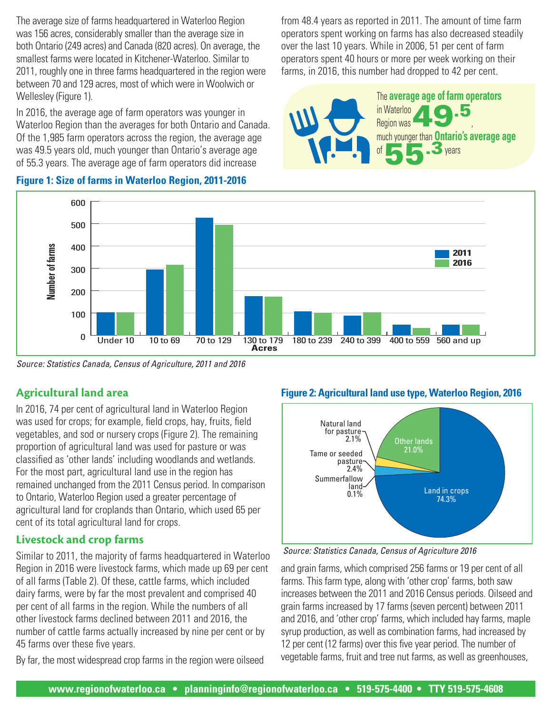The average size of farms headquartered in Waterloo Region was 156 acres, considerably smaller than the average size in both Ontario (249 acres) and Canada (820 acres). On average, the smallest farms were located in Kitchener-Waterloo. Similar to 2011, roughly one in three farms headquartered in the region were between 70 and 129 acres, most of which were in Woolwich or Wellesley (Figure 1).

In 2016, the average age of farm operators was younger in Waterloo Region than the averages for both Ontario and Canada. Of the 1,985 farm operators across the region, the average age was 49.5 years old, much younger than Ontario's average age of 55.3 years. The average age of farm operators did increase

from 48.4 years as reported in 2011. The amount of time farm operators spent working on farms has also decreased steadily over the last 10 years. While in 2006, 51 per cent of farm operators spent 40 hours or more per week working on their farms, in 2016, this number had dropped to 42 per cent.



### **Figure 1: Size of farms in Waterloo Region, 2011-2016**



*Source: Statistics Canada, Census of Agriculture, 2011 and 2016* 

## **Agricultural land area**

In 2016, 74 per cent of agricultural land in Waterloo Region was used for crops; for example, field crops, hay, fruits, field vegetables, and sod or nursery crops (Figure 2). The remaining proportion of agricultural land was used for pasture or was classified as 'other lands' including woodlands and wetlands. For the most part, agricultural land use in the region has remained unchanged from the 2011 Census period. In comparison to Ontario, Waterloo Region used a greater percentage of agricultural land for croplands than Ontario, which used 65 per cent of its total agricultural land for crops.

## **Livestock and crop farms**

Similar to 2011, the majority of farms headquartered in Waterloo Region in 2016 were livestock farms, which made up 69 per cent of all farms (Table 2). Of these, cattle farms, which included dairy farms, were by far the most prevalent and comprised 40 per cent of all farms in the region. While the numbers of all other livestock farms declined between 2011 and 2016, the number of cattle farms actually increased by nine per cent or by 45 farms over these five years.

By far, the most widespread crop farms in the region were oilseed

### **Figure 2: Agricultural land use type, Waterloo Region, 2016**



*Source: Statistics Canada, Census of Agriculture 2016*

and grain farms, which comprised 256 farms or 19 per cent of all farms. This farm type, along with 'other crop' farms, both saw increases between the 2011 and 2016 Census periods. Oilseed and grain farms increased by 17 farms (seven percent) between 2011 and 2016, and 'other crop' farms, which included hay farms, maple syrup production, as well as combination farms, had increased by 12 per cent (12 farms) over this five year period. The number of vegetable farms, fruit and tree nut farms, as well as greenhouses,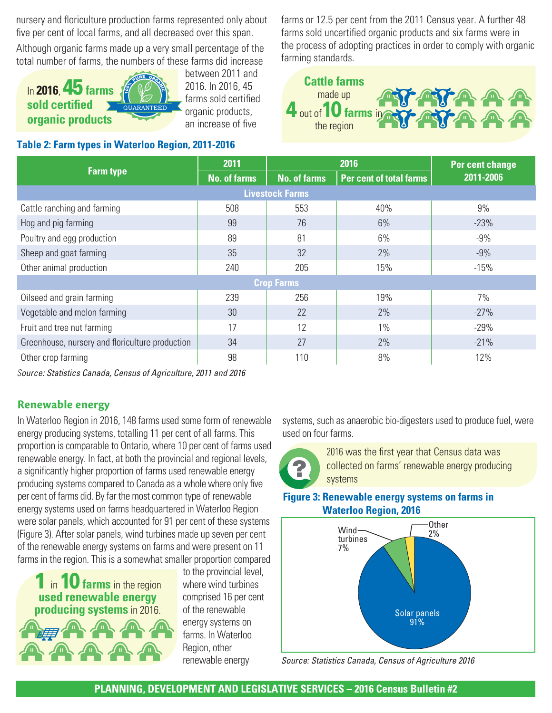nursery and floriculture production farms represented only about five per cent of local farms, and all decreased over this span.

Although organic farms made up a very small percentage of the total number of farms, the numbers of these farms did increase



between 2011 and 2016. In 2016, 45 farms sold certified organic products, an increase of five

#### **Table 2: Farm types in Waterloo Region, 2011-2016**

farms or 12.5 per cent from the 2011 Census year. A further 48 farms sold uncertified organic products and six farms were in the process of adopting practices in order to comply with organic farming standards.



|                                                 | 2011                | 2016                |                                | Per cent change |  |  |  |  |  |  |
|-------------------------------------------------|---------------------|---------------------|--------------------------------|-----------------|--|--|--|--|--|--|
| <b>Farm type</b>                                | <b>No. of farms</b> | <b>No. of farms</b> | <b>Per cent of total farms</b> | 2011-2006       |  |  |  |  |  |  |
| <b>Livestock Farms</b>                          |                     |                     |                                |                 |  |  |  |  |  |  |
| Cattle ranching and farming                     | 508                 | 553                 | 40%                            | 9%              |  |  |  |  |  |  |
| Hog and pig farming                             | 99                  | 76                  | 6%                             | $-23%$          |  |  |  |  |  |  |
| Poultry and egg production                      | 89                  | 81                  | 6%                             | $-9%$           |  |  |  |  |  |  |
| Sheep and goat farming                          | 35                  | 32                  | 2%                             | $-9%$           |  |  |  |  |  |  |
| Other animal production                         | 240                 | 205                 | 15%                            | $-15%$          |  |  |  |  |  |  |
| <b>Crop Farms</b>                               |                     |                     |                                |                 |  |  |  |  |  |  |
| Oilseed and grain farming                       | 239                 | 256                 | 19%                            | 7%              |  |  |  |  |  |  |
| Vegetable and melon farming                     | 30                  | 22                  | 2%                             | $-27%$          |  |  |  |  |  |  |
| Fruit and tree nut farming                      | 17                  | 12                  | 1%                             | $-29%$          |  |  |  |  |  |  |
| Greenhouse, nursery and floriculture production | 34                  | 27                  | 2%                             | $-21%$          |  |  |  |  |  |  |
| Other crop farming                              | 98                  | 110                 | 8%                             | 12%             |  |  |  |  |  |  |

*Source: Statistics Canada, Census of Agriculture, 2011 and 2016*

## **Renewable energy**

In Waterloo Region in 2016, 148 farms used some form of renewable energy producing systems, totalling 11 per cent of all farms. This proportion is comparable to Ontario, where 10 per cent of farms used renewable energy. In fact, at both the provincial and regional levels, a significantly higher proportion of farms used renewable energy producing systems compared to Canada as a whole where only five per cent of farms did. By far the most common type of renewable energy systems used on farms headquartered in Waterloo Region were solar panels, which accounted for 91 per cent of these systems (Figure 3). After solar panels, wind turbines made up seven per cent of the renewable energy systems on farms and were present on 11 farms in the region. This is a somewhat smaller proportion compared

1 in 10 **farms** in the region **used renewable energy producing systems** in 2016.

to the provincial level, where wind turbines comprised 16 per cent of the renewable energy systems on farms. In Waterloo Region, other renewable energy

systems, such as anaerobic bio-digesters used to produce fuel, were used on four farms.



2016 was the first year that Census data was collected on farms' renewable energy producing systems

### **Figure 3: Renewable energy systems on farms in Waterloo Region, 2016**



*Source: Statistics Canada, Census of Agriculture 2016*